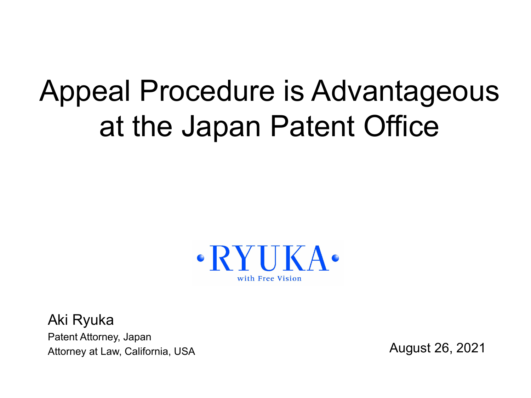# Appeal Procedure is Advantageous at the Japan Patent Office



Aki Ryuka Patent Attorney, Japan Attorney at Law, California, USA

August 26, 2021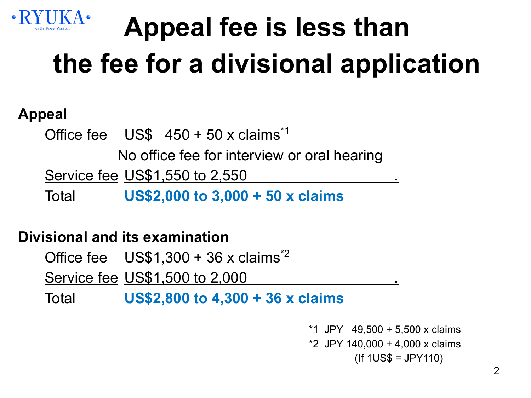

# **Appeal fee is less than the fee for a divisional application**

### **Appeal**

Office fee  $US\$  450 + 50 x claims<sup> $1$ </sup>

No office fee for interview or oral hearing

Service fee US\$1,550 to 2,550

Total **US\$2,000 to 3,000 + 50 x claims**

#### **Divisional and its examination**

Office fee  $US$1,300 + 36 x$  claims<sup>\*2</sup>

**Service fee US\$1,500 to 2,000** 

Total **US\$2,800 to 4,300 + 36 x claims**

 \*1 JPY 49,500 + 5,500 x claims \*2 JPY 140,000 + 4,000 x claims (If 1US\$ = JPY110)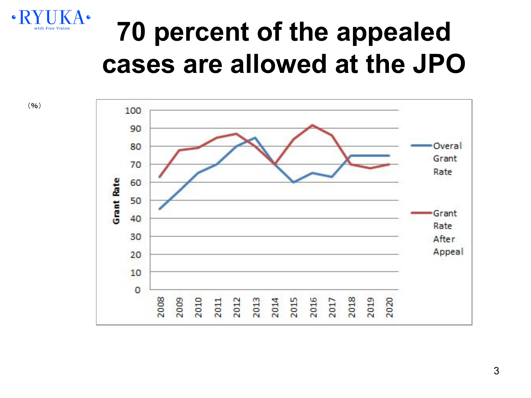

 $(9/6)$ 

### **70 percent of the appealed cases are allowed at the JPO**

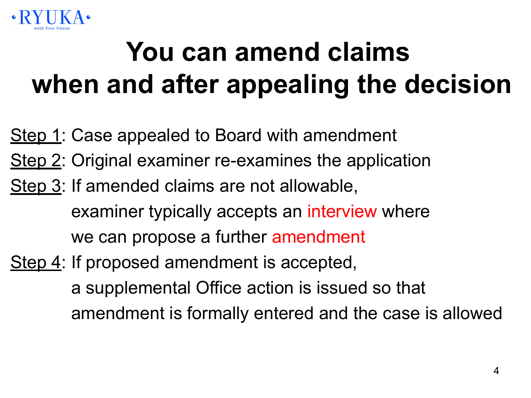

# **You can amend claims when and after appealing the decision**

- Step 1: Case appealed to Board with amendment
- Step 2: Original examiner re-examines the application
- Step 3: If amended claims are not allowable, examiner typically accepts an interview where we can propose a further amendment
- Step 4: If proposed amendment is accepted, a supplemental Office action is issued so that amendment is formally entered and the case is allowed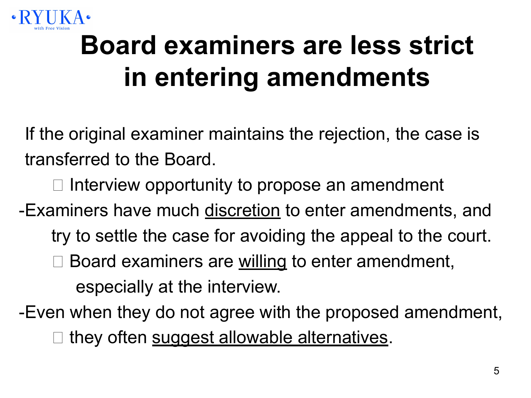

# **Board examiners are less strict in entering amendments**

If the original examiner maintains the rejection, the case is transferred to the Board.

 $\Box$  Interview opportunity to propose an amendment

-Examiners have much discretion to enter amendments, and

- try to settle the case for avoiding the appeal to the court.
- Board examiners are willing to enter amendment, especially at the interview.
- -Even when they do not agree with the proposed amendment, they often suggest allowable alternatives.

5